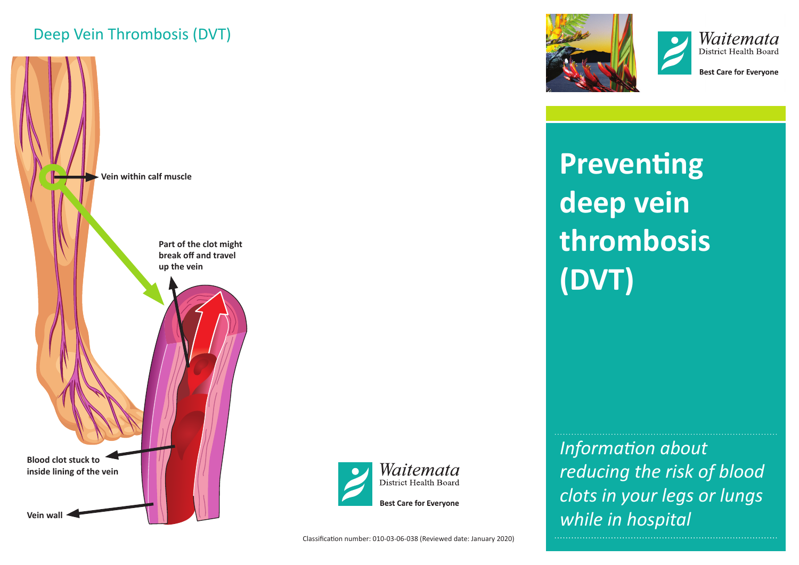# Deep Vein Thrombosis (DVT)









**Best Care for Evervone** 

**Preventing deep vein thrombosis (DVT)**

*Information about reducing the risk of blood clots in your legs or lungs while in hospital*